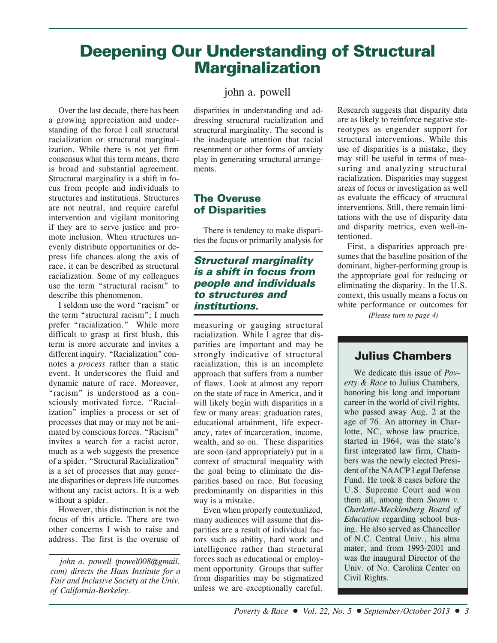# **Deepening Our Understanding of Structural Marginalization**

Over the last decade, there has been a growing appreciation and understanding of the force I call structural racialization or structural marginalization. While there is not yet firm consensus what this term means, there is broad and substantial agreement. Structural marginality is a shift in focus from people and individuals to structures and institutions. Structures are not neutral, and require careful intervention and vigilant monitoring if they are to serve justice and promote inclusion. When structures unevenly distribute opportunities or depress life chances along the axis of race, it can be described as structural racialization. Some of my colleagues use the term "structural racism" to describe this phenomenon.

I seldom use the word "racism" or the term "structural racism"; I much prefer "racialization." While more difficult to grasp at first blush, this term is more accurate and invites a different inquiry. "Racialization" connotes a *process* rather than a static event. It underscores the fluid and dynamic nature of race. Moreover, "racism" is understood as a consciously motivated force. "Racialization" implies a process or set of processes that may or may not be animated by conscious forces. "Racism" invites a search for a racist actor, much as a web suggests the presence of a spider. "Structural Racialization" is a set of processes that may generate disparities or depress life outcomes without any racist actors. It is a web without a spider.

However, this distinction is not the focus of this article. There are two other concerns I wish to raise and address. The first is the overuse of

*john a. powell (powel008@gmail. com) directs the Haas Institute for a Fair and Inclusive Society at the Univ. of California-Berkeley.*

# john a. powell

disparities in understanding and addressing structural racialization and structural marginality. The second is the inadequate attention that racial resentment or other forms of anxiety play in generating structural arrangements.

## **The Overuse of Disparities**

There is tendency to make disparities the focus or primarily analysis for

## **Structural marginality is a shift in focus from people and individuals to structures and institutions.**

measuring or gauging structural racialization. While I agree that disparities are important and may be strongly indicative of structural racialization, this is an incomplete approach that suffers from a number of flaws. Look at almost any report on the state of race in America, and it will likely begin with disparities in a few or many areas: graduation rates, educational attainment, life expectancy, rates of incarceration, income, wealth, and so on. These disparities are soon (and appropriately) put in a context of structural inequality with the goal being to eliminate the disparities based on race. But focusing predominantly on disparities in this way is a mistake.

Even when properly contexualized, many audiences will assume that disparities are a result of individual factors such as ability, hard work and intelligence rather than structural forces such as educational or employment opportunity. Groups that suffer from disparities may be stigmatized unless we are exceptionally careful.

Research suggests that disparity data are as likely to reinforce negative stereotypes as engender support for structural interventions. While this use of disparities is a mistake, they may still be useful in terms of measuring and analyzing structural racialization. Disparities may suggest areas of focus or investigation as well as evaluate the efficacy of structural interventions. Still, there remain limitations with the use of disparity data and disparity metrics, even well-intentioned.

First, a disparities approach presumes that the baseline position of the dominant, higher-performing group is the appropriate goal for reducing or eliminating the disparity. In the U.S. context, this usually means a focus on white performance or outcomes for

*(Please turn to page 4)*

# **Julius Chambers**

We dedicate this issue of *Poverty & Race* to Julius Chambers, honoring his long and important career in the world of civil rights, who passed away Aug. 2 at the age of 76. An attorney in Charlotte, NC, whose law practice, started in 1964, was the state's first integrated law firm, Chambers was the newly elected President of the NAACP Legal Defense Fund. He took 8 cases before the U.S. Supreme Court and won them all, among them *Swann v. Charlotte-Mecklenberg Board of Education* regarding school busing. He also served as Chancellor of N.C. Central Univ., his alma mater, and from 1993-2001 and was the inaugural Director of the Univ. of No. Carolina Center on Civil Rights.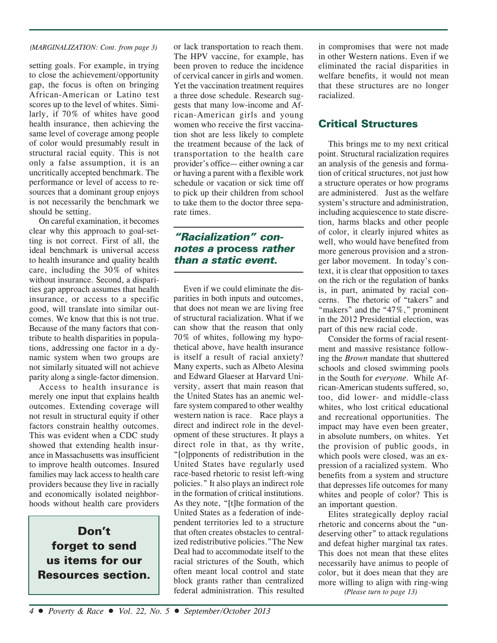### *(MARGINALIZATION: Cont. from page 3)*

setting goals. For example, in trying to close the achievement/opportunity gap, the focus is often on bringing African-American or Latino test scores up to the level of whites. Similarly, if 70% of whites have good health insurance, then achieving the same level of coverage among people of color would presumably result in structural racial equity. This is not only a false assumption, it is an uncritically accepted benchmark. The performance or level of access to resources that a dominant group enjoys is not necessarily the benchmark we should be setting.

On careful examination, it becomes clear why this approach to goal-setting is not correct. First of all, the ideal benchmark is universal access to health insurance and quality health care, including the 30% of whites without insurance. Second, a disparities gap approach assumes that health insurance, or access to a specific good, will translate into similar outcomes. We know that this is not true. Because of the many factors that contribute to health disparities in populations, addressing one factor in a dynamic system when two groups are not similarly situated will not achieve parity along a single-factor dimension.

Access to health insurance is merely one input that explains health outcomes. Extending coverage will not result in structural equity if other factors constrain healthy outcomes. This was evident when a CDC study showed that extending health insurance in Massachusetts was insufficient to improve health outcomes. Insured families may lack access to health care providers because they live in racially and economically isolated neighborhoods without health care providers

# **Don't forget to send us items for our Resources section.**

or lack transportation to reach them. The HPV vaccine, for example, has been proven to reduce the incidence of cervical cancer in girls and women. Yet the vaccination treatment requires a three dose schedule. Research suggests that many low-income and African-American girls and young women who receive the first vaccination shot are less likely to complete the treatment because of the lack of transportation to the health care provider's office— either owning a car or having a parent with a flexible work schedule or vacation or sick time off to pick up their children from school to take them to the doctor three separate times.

# **"Racialization" connotes a process rather than a static event.**

Even if we could eliminate the disparities in both inputs and outcomes, that does not mean we are living free of structural racialization. What if we can show that the reason that only 70% of whites, following my hypothetical above, have health insurance is itself a result of racial anxiety? Many experts, such as Albeto Alesina and Edward Glaeser at Harvard University, assert that main reason that the United States has an anemic welfare system compared to other wealthy western nation is race. Race plays a direct and indirect role in the development of these structures. It plays a direct role in that, as thy write, "[o]pponents of redistribution in the United States have regularly used race-based rhetoric to resist left-wing policies." It also plays an indirect role in the formation of critical institutions. As they note, "[t]he formation of the United States as a federation of independent territories led to a structure that often creates obstacles to centralized redistributive policies."The New Deal had to accommodate itself to the racial strictures of the South, which often meant local control and state block grants rather than centralized federal administration. This resulted

in compromises that were not made in other Western nations. Even if we eliminated the racial disparities in welfare benefits, it would not mean that these structures are no longer racialized.

# **Critical Structures**

This brings me to my next critical point. Structural racialization requires an analysis of the genesis and formation of critical structures, not just how a structure operates or how programs are administered. Just as the welfare system's structure and administration, including acquiescence to state discretion, harms blacks and other people of color, it clearly injured whites as well, who would have benefited from more generous provision and a stronger labor movement. In today's context, it is clear that opposition to taxes on the rich or the regulation of banks is, in part, animated by racial concerns. The rhetoric of "takers" and "makers" and the "47%," prominent in the 2012 Presidential election, was part of this new racial code.

Consider the forms of racial resentment and massive resistance following the *Brown* mandate that shuttered schools and closed swimming pools in the South for *everyone*. While African-American students suffered, so, too, did lower- and middle-class whites, who lost critical educational and recreational opportunities. The impact may have even been greater, in absolute numbers, on whites. Yet the provision of public goods, in which pools were closed, was an expression of a racialized system. Who benefits from a system and structure that depresses life outcomes for many whites and people of color? This is an important question.

Elites strategically deploy racial rhetoric and concerns about the "undeserving other" to attack regulations and defeat higher marginal tax rates. This does not mean that these elites necessarily have animus to people of color, but it does mean that they are more willing to align with ring-wing

*(Please turn to page 13)*